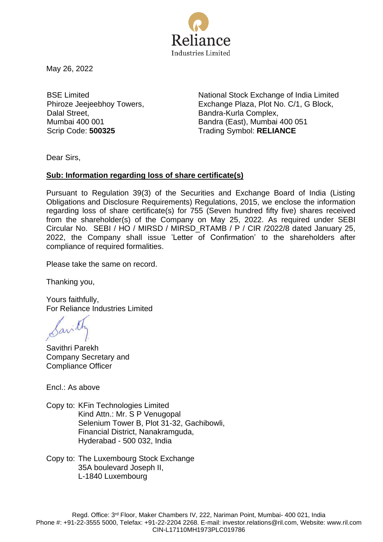

May 26, 2022

BSE Limited Phiroze Jeejeebhoy Towers, Dalal Street, Mumbai 400 001

National Stock Exchange of India Limited Exchange Plaza, Plot No. C/1, G Block, Bandra-Kurla Complex, Bandra (East), Mumbai 400 051 Scrip Code: **500325** Trading Symbol: **RELIANCE**

Dear Sirs,

## **Sub: Information regarding loss of share certificate(s)**

Pursuant to Regulation 39(3) of the Securities and Exchange Board of India (Listing Obligations and Disclosure Requirements) Regulations, 2015, we enclose the information regarding loss of share certificate(s) for 755 (Seven hundred fifty five) shares received from the shareholder(s) of the Company on May 25, 2022. As required under SEBI Circular No. SEBI / HO / MIRSD / MIRSD\_RTAMB / P / CIR /2022/8 dated January 25, 2022, the Company shall issue 'Letter of Confirmation' to the shareholders after compliance of required formalities.

Please take the same on record.

Thanking you,

Yours faithfully, For Reliance Industries Limited

Savill

Savithri Parekh Company Secretary and Compliance Officer

Encl.: As above

- Copy to: KFin Technologies Limited Kind Attn.: Mr. S P Venugopal Selenium Tower B, Plot 31-32, Gachibowli, Financial District, Nanakramguda, Hyderabad - 500 032, India
- Copy to: The Luxembourg Stock Exchange 35A boulevard Joseph II, L-1840 Luxembourg